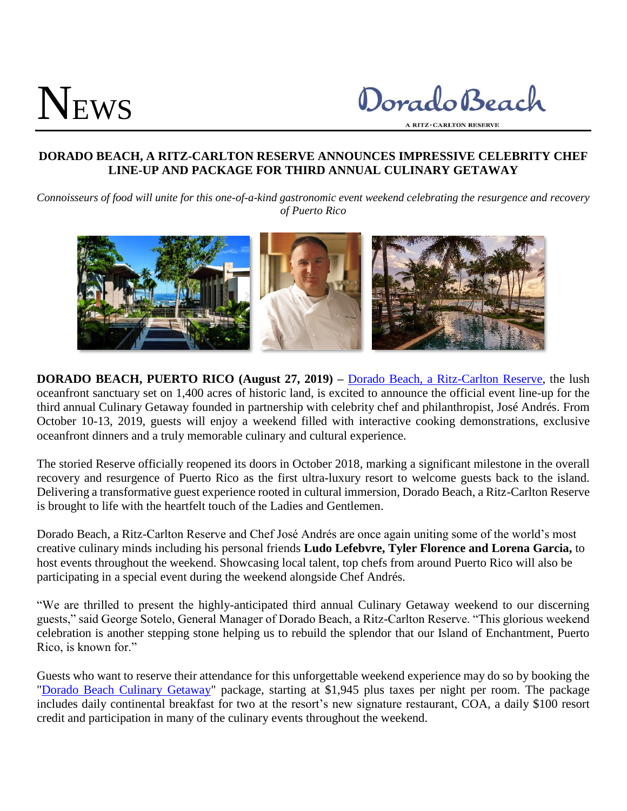# NEWS

Dorado Beach

**A RITZ-CARLTON RESERVE** 

## **DORADO BEACH, A RITZ-CARLTON RESERVE ANNOUNCES IMPRESSIVE CELEBRITY CHEF LINE-UP AND PACKAGE FOR THIRD ANNUAL CULINARY GETAWAY**

*Connoisseurs of food will unite for this one-of-a-kind gastronomic event weekend celebrating the resurgence and recovery of Puerto Rico*



**DORADO BEACH, PUERTO RICO (August 27, 2019) –** [Dorado Beach, a Ritz-Carlton Reserve,](http://www.ritzcarlton.com/en/hotels/puerto-rico/dorado-beach) the lush oceanfront sanctuary set on 1,400 acres of historic land, is excited to announce the official event line-up for the third annual Culinary Getaway founded in partnership with celebrity chef and philanthropist, José Andrés. From October 10-13, 2019, guests will enjoy a weekend filled with interactive cooking demonstrations, exclusive oceanfront dinners and a truly memorable culinary and cultural experience.

The storied Reserve officially reopened its doors in October 2018, marking a significant milestone in the overall recovery and resurgence of Puerto Rico as the first ultra-luxury resort to welcome guests back to the island. Delivering a transformative guest experience rooted in cultural immersion, Dorado Beach, a Ritz-Carlton Reserve is brought to life with the heartfelt touch of the Ladies and Gentlemen.

Dorado Beach, a Ritz-Carlton Reserve and Chef José Andrés are once again uniting some of the world's most creative culinary minds including his personal friends **Ludo Lefebvre, Tyler Florence and Lorena Garcia,** to host events throughout the weekend. Showcasing local talent, top chefs from around Puerto Rico will also be participating in a special event during the weekend alongside Chef Andrés.

"We are thrilled to present the highly-anticipated third annual Culinary Getaway weekend to our discerning guests," said George Sotelo, General Manager of Dorado Beach, a Ritz-Carlton Reserve. "This glorious weekend celebration is another stepping stone helping us to rebuild the splendor that our Island of Enchantment, Puerto Rico, is known for."

Guests who want to reserve their attendance for this unforgettable weekend experience may do so by booking the ["Dorado Beach Culinary Getaway"](https://www.ritzcarlton.com/en/hotels/puerto-rico/dorado-beach/offers/culinary-getaway) package, starting at \$1,945 plus taxes per night per room. The package includes daily continental breakfast for two at the resort's new signature restaurant, COA, a daily \$100 resort credit and participation in many of the culinary events throughout the weekend.